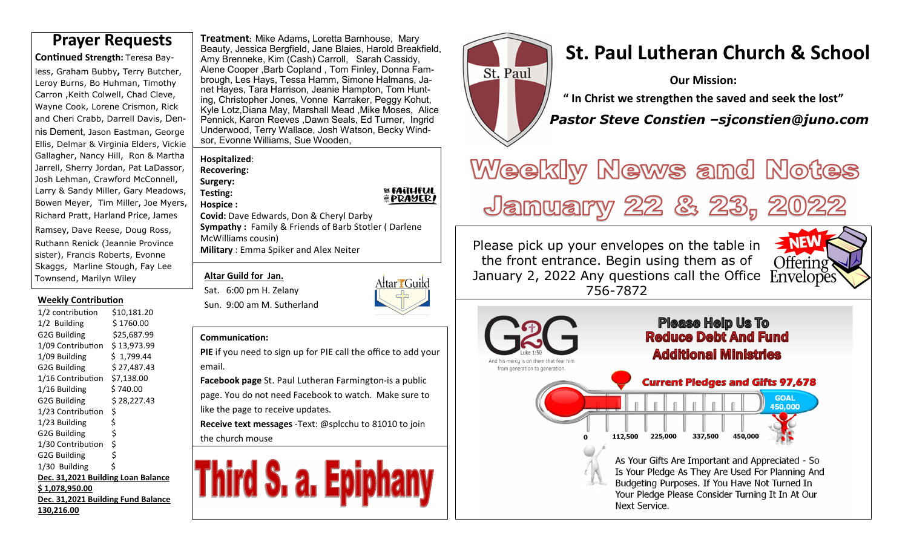**Con nued Strength:** Teresa Bayless, Graham Bubby**,** Terry Butcher, Leroy Burns, Bo Huhman, Timothy Carron ,Keith Colwell, Chad Cleve, Wayne Cook, Lorene Crismon, Rick and Cheri Crabb, Darrell Davis, Dennis Dement, Jason Eastman, George Ellis, Delmar & Virginia Elders, Vickie Gallagher, Nancy Hill, Ron & Martha Jarrell, Sherry Jordan, Pat LaDassor, Josh Lehman, Crawford McConnell, Larry & Sandy Miller, Gary Meadows, Bowen Meyer, Tim Miller, Joe Myers, Richard Pratt, Harland Price, James Ramsey, Dave Reese, Doug Ross, Ruthann Renick (Jeannie Province sister), Francis Roberts, Evonne Skaggs, Marline Stough, Fay Lee

#### **Weekly Contribution**

Townsend, Marilyn Wiley

| 1/2 contribution                   | \$10,181.20  |  |  |  |  |  |  |
|------------------------------------|--------------|--|--|--|--|--|--|
| 1/2 Building                       | \$ 1760.00   |  |  |  |  |  |  |
| G2G Building                       | \$25,687.99  |  |  |  |  |  |  |
| 1/09 Contribution                  | \$ 13,973.99 |  |  |  |  |  |  |
| 1/09 Building                      | \$1,799.44   |  |  |  |  |  |  |
| G2G Building                       | \$ 27,487.43 |  |  |  |  |  |  |
| 1/16 Contribution                  | \$7,138.00   |  |  |  |  |  |  |
| 1/16 Building                      | \$740.00     |  |  |  |  |  |  |
| G2G Building                       | \$ 28,227.43 |  |  |  |  |  |  |
| 1/23 Contribution                  | \$           |  |  |  |  |  |  |
| 1/23 Building                      | \$           |  |  |  |  |  |  |
| G2G Building                       | ;<br>\$      |  |  |  |  |  |  |
| 1/30 Contribution                  |              |  |  |  |  |  |  |
| G2G Building                       | \$           |  |  |  |  |  |  |
| 1/30 Building                      | \$           |  |  |  |  |  |  |
| Dec. 31,2021 Building Loan Balance |              |  |  |  |  |  |  |
| \$1,078,950.00                     |              |  |  |  |  |  |  |
| Dec. 31,2021 Building Fund Balance |              |  |  |  |  |  |  |
| 130,216.00                         |              |  |  |  |  |  |  |

**Treatment:** Mike Adams**,** Loretta Barnhouse, Mary Beauty, Jessica Bergfield, Jane Blaies, Harold Breakfield,Amy Brenneke, Kim (Cash) Carroll, Sarah Cassidy, Alene Cooper ,Barb Copland , Tom Finley, Donna Fambrough, Les Hays, Tessa Hamm, Simone Halmans, Janet Hayes, Tara Harrison, Jeanie Hampton, Tom Hunting, Christopher Jones, Vonne Karraker, Peggy Kohut, Kyle Lotz,Diana May, Marshall Mead ,Mike Moses, Alice Pennick, Karon Reeves ,Dawn Seals, Ed Turner, Ingrid Underwood, Terry Wallace, Josh Watson, Becky Windsor, Evonne Williams, Sue Wooden, **Prayer Requests** *Stealing Treatment: Mike Adams, Loretta Barnhouse, Mary***<br>
<b>St. Paul Lutheran Church & School** 

> **Hospitalized**: **Recovering:**

**Surgery:** 

**Testing: Hospice :**  **EL FAITHFUL<br>HI PRAYER!** 

**Covid:** Dave Edwards, Don & Cheryl Darby **Sympathy :** Family & Friends of Barb Stotler ( Darlene McWilliams cousin) **Military** : Emma Spiker and Alex Neiter

#### **Altar Guild for Jan.**

Sat. 6:00 pm H. Zelany Sun. 9:00 am M. Sutherland



#### **Communication:**

**PIE** if you need to sign up for PIE call the office to add your email.

**Facebook page** St. Paul Lutheran Farmington-is a public page. You do not need Facebook to watch. Make sure to like the page to receive updates.

**Receive text messages** -Text: @splcchu to 81010 to join the church mouse





**Our Mission:** 

**" In Christ we strengthen the saved and seek the lost"** 

 *Pastor Steve Constien –sjconstien@juno.com*

# Weekly News and Notes January 22 & 23, 2022

Please pick up your envelopes on the table in the front entrance. Begin using them as of January 2, 2022 Any questions call the Office 756-7872